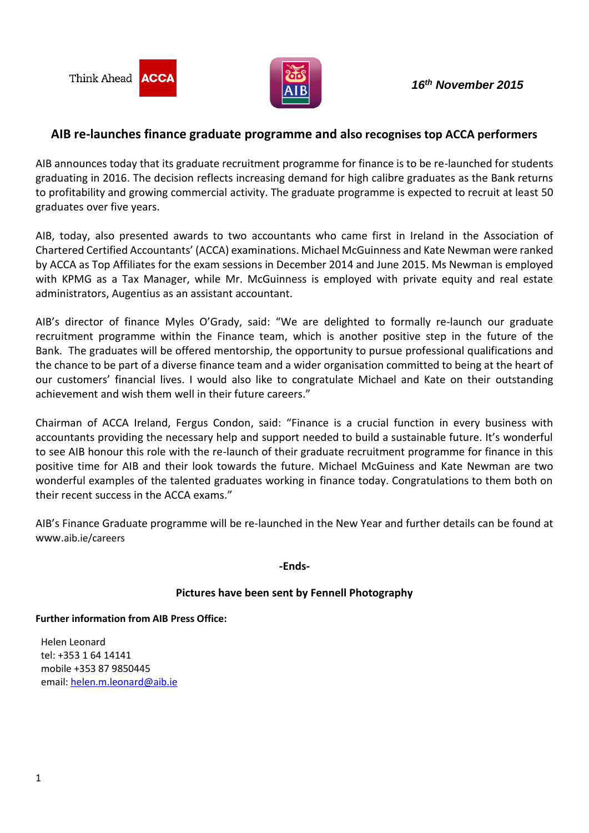

## **AIB re-launches finance graduate programme and also recognises top ACCA performers**

AIB announces today that its graduate recruitment programme for finance is to be re-launched for students graduating in 2016. The decision reflects increasing demand for high calibre graduates as the Bank returns to profitability and growing commercial activity. The graduate programme is expected to recruit at least 50 graduates over five years.

AIB, today, also presented awards to two accountants who came first in Ireland in the Association of Chartered Certified Accountants' (ACCA) examinations. Michael McGuinness and Kate Newman were ranked by ACCA as Top Affiliates for the exam sessions in December 2014 and June 2015. Ms Newman is employed with KPMG as a Tax Manager, while Mr. McGuinness is employed with private equity and real estate administrators, Augentius as an assistant accountant.

AIB's director of finance Myles O'Grady, said: "We are delighted to formally re-launch our graduate recruitment programme within the Finance team, which is another positive step in the future of the Bank. The graduates will be offered mentorship, the opportunity to pursue professional qualifications and the chance to be part of a diverse finance team and a wider organisation committed to being at the heart of our customers' financial lives. I would also like to congratulate Michael and Kate on their outstanding achievement and wish them well in their future careers."

Chairman of ACCA Ireland, Fergus Condon, said: "Finance is a crucial function in every business with accountants providing the necessary help and support needed to build a sustainable future. It's wonderful to see AIB honour this role with the re-launch of their graduate recruitment programme for finance in this positive time for AIB and their look towards the future. Michael McGuiness and Kate Newman are two wonderful examples of the talented graduates working in finance today. Congratulations to them both on their recent success in the ACCA exams."

AIB's Finance Graduate programme will be re-launched in the New Year and further details can be found at www.aib.ie/careers

**-Ends-**

## **Pictures have been sent by Fennell Photography**

**Further information from AIB Press Office:**

Helen Leonard tel: +353 1 64 14141 mobile +353 87 9850445 email: [helen.m.leonard@aib.ie](mailto:helen.m.leonard@aib.ie)